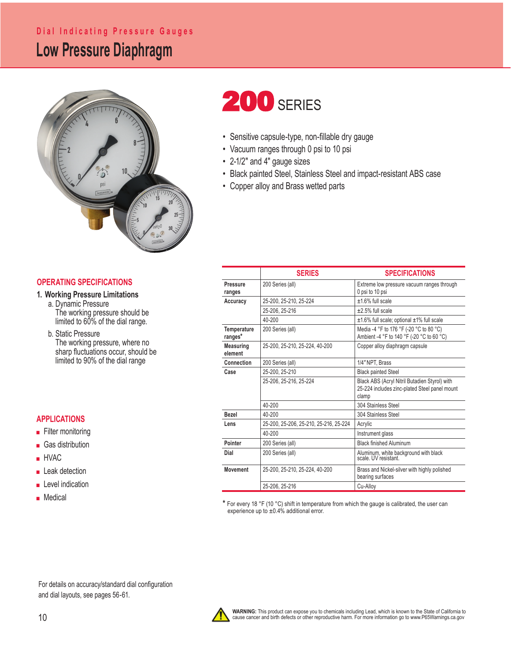### **Low Pressure Diaphragm Dial Indicating Pressure Gauges**



### **OPERATING SPECIFICATIONS**

### **1. Working Pressure Limitations**

 a. Dynamic Pressure The working pressure should be limited to 60% of the dial range.

 b. Static Pressure The working pressure, where no sharp fluctuations occur, should be limited to 90% of the dial range

### **APPLICATIONS**

- Filter monitoring
- Gas distribution
- HVAC
- Leak detection
- Level indication
- Medical

# **200 SERIES**

- Sensitive capsule-type, non-fillable dry gauge
- Vacuum ranges through 0 psi to 10 psi
- 2-1/2" and 4" gauge sizes
- Black painted Steel, Stainless Steel and impact-resistant ABS case
- Copper alloy and Brass wetted parts

|                               | <b>SERIES</b>                          | <b>SPECIFICATIONS</b>                                                                                   |  |  |
|-------------------------------|----------------------------------------|---------------------------------------------------------------------------------------------------------|--|--|
| Pressure<br>ranges            | 200 Series (all)                       | Extreme low pressure vacuum ranges through<br>0 psi to 10 psi                                           |  |  |
| Accuracy                      | 25-200. 25-210. 25-224                 | +1.6% full scale                                                                                        |  |  |
|                               | 25-206. 25-216                         | $±2.5%$ full scale                                                                                      |  |  |
|                               | 40-200                                 | ±1.6% full scale; optional ±1% full scale                                                               |  |  |
| <b>Temperature</b><br>ranges* | 200 Series (all)                       | Media -4 °F to 176 °F (-20 °C to 80 °C)<br>Ambient -4 °F to 140 °F (-20 °C to 60 °C)                    |  |  |
| <b>Measuring</b><br>element   | 25-200, 25-210, 25-224, 40-200         | Copper alloy diaphragm capsule                                                                          |  |  |
| Connection                    | 200 Series (all)                       | 1/4" NPT. Brass                                                                                         |  |  |
| Case                          | 25-200. 25-210                         | <b>Black painted Steel</b>                                                                              |  |  |
|                               | 25-206, 25-216, 25-224                 | Black ABS (Acryl Nitril Butadien Styrol) with<br>25-224 includes zinc-plated Steel panel mount<br>clamp |  |  |
|                               | 40-200                                 | 304 Stainless Steel                                                                                     |  |  |
| <b>Bezel</b>                  | 40-200                                 | 304 Stainless Steel                                                                                     |  |  |
| Lens                          | 25-200, 25-206, 25-210, 25-216, 25-224 | Acrylic                                                                                                 |  |  |
|                               | 40-200                                 | Instrument glass                                                                                        |  |  |
| Pointer                       | 200 Series (all)                       | <b>Black finished Aluminum</b>                                                                          |  |  |
| Dial                          | 200 Series (all)                       | Aluminum, white background with black<br>scale. UV resistant.                                           |  |  |
| <b>Movement</b>               | 25-200, 25-210, 25-224, 40-200         | Brass and Nickel-silver with highly polished<br>bearing surfaces                                        |  |  |
|                               | 25-206, 25-216                         | Cu-Allov                                                                                                |  |  |

**\*** For every 18 °F (10 °C) shift in temperature from which the gauge is calibrated, the user can experience up to  $\pm 0.4\%$  additional error.

For details on accuracy/standard dial configuration and dial layouts, see pages 56-61.

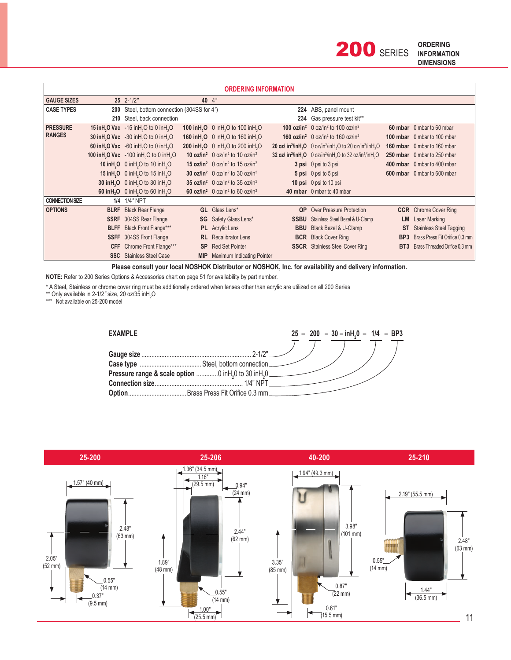| <b>ORDERING INFORMATION</b>      |             |                                                                               |            |                                                                           |             |                                                                                                                                      |                 |                                    |  |  |
|----------------------------------|-------------|-------------------------------------------------------------------------------|------------|---------------------------------------------------------------------------|-------------|--------------------------------------------------------------------------------------------------------------------------------------|-----------------|------------------------------------|--|--|
| <b>GAUGE SIZES</b>               |             | $25$ $2 - 1/2$ "                                                              | 40 4"      |                                                                           |             |                                                                                                                                      |                 |                                    |  |  |
| <b>CASE TYPES</b>                | 200         | Steel, bottom connection (304SS for 4")                                       |            |                                                                           |             | 224 ABS, panel mount                                                                                                                 |                 |                                    |  |  |
|                                  | 210         | Steel, back connection                                                        |            |                                                                           |             | 234 Gas pressure test kit**                                                                                                          |                 |                                    |  |  |
| <b>PRESSURE</b><br><b>RANGES</b> |             | 15 in H <sub>2</sub> O Vac -15 in H <sub>2</sub> O to 0 in H <sub>2</sub> O   |            | 100 in H <sub>2</sub> O 0 in H <sub>2</sub> O to 100 in H <sub>2</sub> O  |             | <b>100 oz/in<sup>2</sup></b> 0 oz/in <sup>2</sup> to 100 oz/in <sup>2</sup>                                                          |                 | 60 mbar 0 mbar to 60 mbar          |  |  |
|                                  |             | 30 in H <sub>2</sub> O Vac -30 in H <sub>2</sub> O to 0 in H <sub>2</sub> O   |            | 160 in H <sub>2</sub> O 0 in H <sub>2</sub> O to 160 in H <sub>2</sub> O  |             | <b>160 oz/in<sup>2</sup></b> 0 oz/in <sup>2</sup> to 160 oz/in <sup>2</sup>                                                          |                 | 100 mbar 0 mbar to 100 mbar        |  |  |
|                                  |             | 60 in H <sub>2</sub> O Vac $-60$ in H <sub>2</sub> O to 0 in H <sub>2</sub> O |            | 200 in H <sub>2</sub> O 0 in H <sub>2</sub> O to 200 in H <sub>2</sub> O  |             | 20 oz/in <sup>2</sup> /inH <sub>2</sub> O $\,$ 0 oz/in <sup>2</sup> /inH <sub>2</sub> O to 20 oz/in <sup>2</sup> /inH <sub>2</sub> O |                 | <b>160 mbar</b> 0 mbar to 160 mbar |  |  |
|                                  |             | 100 in H <sub>2</sub> O Vac -100 in H <sub>2</sub> O to 0 in H <sub>2</sub> O |            | <b>10 oz/in<sup>2</sup></b> 0 oz/in <sup>2</sup> to 10 oz/in <sup>2</sup> |             | 32 oz/in <sup>2</sup> /inH <sub>2</sub> O 0 oz/in <sup>2</sup> /inH <sub>2</sub> O to 32 oz/in <sup>2</sup> /inH <sub>2</sub> O      |                 | 250 mbar 0 mbar to 250 mbar        |  |  |
|                                  |             | 10 in H <sub>2</sub> O 0 in H <sub>2</sub> O to 10 in H <sub>2</sub> O        |            | 15 oz/in <sup>2</sup> 0 oz/in <sup>2</sup> to 15 oz/in <sup>2</sup>       |             | 3 psi 0 psi to 3 psi                                                                                                                 |                 | 400 mbar 0 mbar to 400 mbar        |  |  |
|                                  |             | 15 in H <sub>2</sub> O 0 in H <sub>2</sub> O to 15 in H <sub>2</sub> O        |            | <b>30 oz/in<sup>2</sup></b> 0 oz/in <sup>2</sup> to 30 oz/in <sup>2</sup> |             | 5 psi 0 psi to 5 psi                                                                                                                 |                 | 600 mbar 0 mbar to 600 mbar        |  |  |
|                                  |             | 30 inH <sub>2</sub> O 0 inH <sub>2</sub> O to 30 inH <sub>2</sub> O           |            | 35 oz/in <sup>2</sup> 0 oz/in <sup>2</sup> to 35 oz/in <sup>2</sup>       |             | 10 psi 0 psi to 10 psi                                                                                                               |                 |                                    |  |  |
|                                  |             | 60 in H <sub>2</sub> O 0 in H <sub>2</sub> O to 60 in H <sub>2</sub> O        |            | 60 $oz/in^2$ 0 $oz/in^2$ to 60 $oz/in^2$                                  |             | 40 mbar 0 mbar to 40 mbar                                                                                                            |                 |                                    |  |  |
| <b>CONNECTION SIZE</b>           |             | 1/4 1/4" NPT                                                                  |            |                                                                           |             |                                                                                                                                      |                 |                                    |  |  |
| <b>OPTIONS</b>                   |             | <b>BLRF</b> Black Rear Flange                                                 |            | <b>GL</b> Glass Lens*                                                     | <b>OP</b>   | <b>Over Pressure Protection</b>                                                                                                      |                 | <b>CCR</b> Chrome Cover Ring       |  |  |
|                                  |             | <b>SSRF</b> 304SS Rear Flange                                                 |            | <b>SG</b> Safety Glass Lens*                                              | <b>SSBU</b> | Stainless Steel Bezel & U-Clamp                                                                                                      | LM .            | Laser Marking                      |  |  |
|                                  | <b>BLFF</b> | Black Front Flange***                                                         |            | <b>PL</b> Acrylic Lens                                                    | <b>BBU</b>  | Black Bezel & U-Clamp                                                                                                                | ST              | <b>Stainless Steel Tagging</b>     |  |  |
|                                  | <b>SSFF</b> | 304SS Front Flange                                                            |            | <b>RL</b> Recalibrator Lens                                               | <b>BCR</b>  | <b>Black Cover Ring</b>                                                                                                              | BP <sub>3</sub> | Brass Press Fit Orifice 0.3 mm     |  |  |
|                                  | <b>CFF</b>  | Chrome Front Flange***                                                        | <b>SP</b>  | <b>Red Set Pointer</b>                                                    | <b>SSCR</b> | <b>Stainless Steel Cover Ring</b>                                                                                                    | BT3             | Brass Threaded Orifice 0.3 mm      |  |  |
|                                  |             | <b>SSC</b> Stainless Steel Case                                               | <b>MIP</b> | Maximum Indicating Pointer                                                |             |                                                                                                                                      |                 |                                    |  |  |

Please consult your local NOSHOK Distributor or NOSHOK, Inc. for availability and delivery information.

NOTE: Refer to 200 Series Options & Accessories chart on page 51 for availability by part number.

\* A Steel, Stainless or chrome cover ring must be additionally ordered when lenses other than acrylic are utilized on all 200 Series \*\* Only available in 2-1/2" size, 20 oz/35 inH<sub>2</sub>O

\*\*\* Not available on 25-200 model



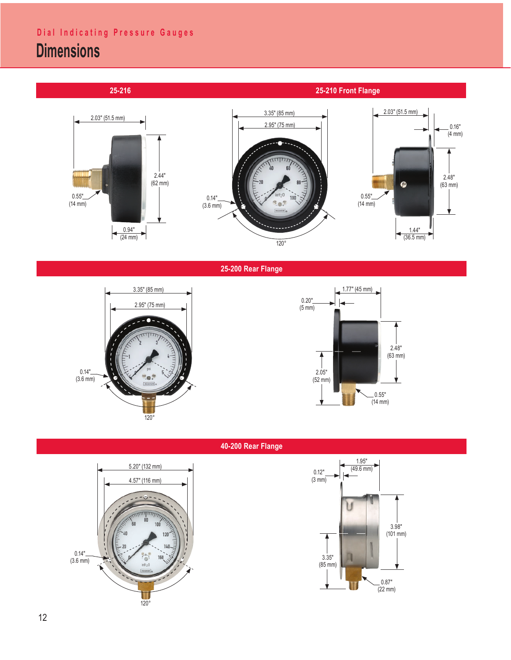## **Dial Indicating Pressure Gauges**

## **Dimensions**

 **25-216 25-210 Front Flange**



**25-200 Rear Flange**





**40-200 Rear Flange**